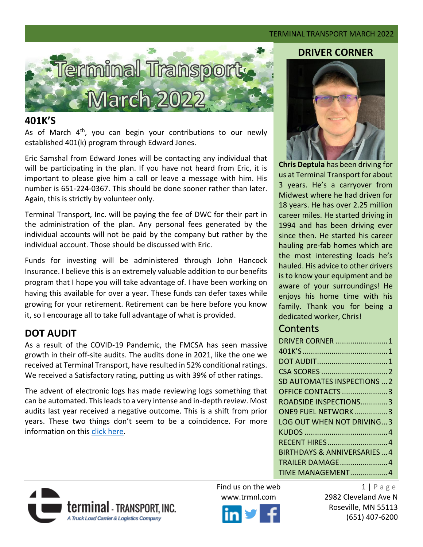#### TERMINAL TRANSPORT MARCH 2022



#### <span id="page-0-0"></span>**401K'S**

As of March  $4<sup>th</sup>$ , you can begin your contributions to our newly established 401(k) program through Edward Jones.

Eric Samshal from Edward Jones will be contacting any individual that will be participating in the plan. If you have not heard from Eric, it is important to please give him a call or leave a message with him. His number is 651-224-0367. This should be done sooner rather than later. Again, this is strictly by volunteer only.

Terminal Transport, Inc. will be paying the fee of DWC for their part in the administration of the plan. Any personal fees generated by the individual accounts will not be paid by the company but rather by the individual account. Those should be discussed with Eric.

Funds for investing will be administered through John Hancock Insurance. I believe this is an extremely valuable addition to our benefits program that I hope you will take advantage of. I have been working on having this available for over a year. These funds can defer taxes while growing for your retirement. Retirement can be here before you know it, so I encourage all to take full advantage of what is provided.

# <span id="page-0-1"></span>**DOT AUDIT**

As a result of the COVID-19 Pandemic, the FMCSA has seen massive growth in their off-site audits. The audits done in 2021, like the one we received at Terminal Transport, have resulted in 52% conditional ratings. We received a Satisfactory rating, putting us with 39% of other ratings.

The advent of electronic logs has made reviewing logs something that can be automated. This leads to a very intense and in-depth review. Most audits last year received a negative outcome. This is a shift from prior years. These two things don't seem to be a coincidence. For more information on this [click here.](https://www.overdriveonline.com/regulations/article/15288352/the-conditional-safety-rating-the-most-common-in-2021?utm_term=VersionB&utm_medium=email&utm_content=02-11-2022&utm_campaign=OV_NL_Overdrive+Daily&utm_source=OV_NL_Overdrive+Daily&ust_id=a0839a41311d3d9bb3b9a0969542eb41271f60ee&oly_enc_id=1761D1070334I1P)

#### **DRIVER CORNER**



**Chris Deptula** has been driving for us at Terminal Transport for about 3 years. He's a carryover from Midwest where he had driven for 18 years. He has over 2.25 million career miles. He started driving in 1994 and has been driving ever since then. He started his career hauling pre-fab homes which are the most interesting loads he's hauled. His advice to other drivers is to know your equipment and be aware of your surroundings! He enjoys his home time with his family. Thank you for being a dedicated worker, Chris!

## **Contents**

| <b>DRIVER CORNER  1</b>               |  |
|---------------------------------------|--|
|                                       |  |
|                                       |  |
|                                       |  |
| SD AUTOMATES INSPECTIONS  2           |  |
| OFFICE CONTACTS 3                     |  |
| ROADSIDE INSPECTIONS3                 |  |
| ONE9 FUEL NETWORK3                    |  |
| LOG OUT WHEN NOT DRIVING3             |  |
|                                       |  |
| RECENT HIRES 4                        |  |
| <b>BIRTHDAYS &amp; ANNIVERSARIES4</b> |  |
| <b>TRAILER DAMAGE4</b>                |  |
| TIME MANAGEMENT 4                     |  |
|                                       |  |



Find us on the web  $1 | P a g e$ 



www.trmnl.com 2982 Cleveland Ave N Roseville, MN 55113 (651) 407-6200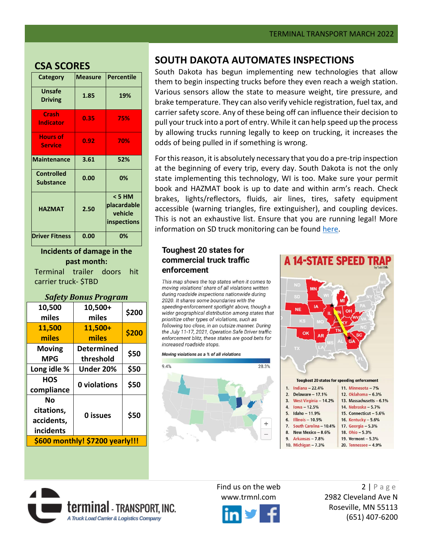#### **CSA SCORES**

| Category                              | <b>Measure</b> | Percentile                                             |
|---------------------------------------|----------------|--------------------------------------------------------|
| <b>Unsafe</b><br><b>Driving</b>       | 1.85           | 19%                                                    |
| Crash<br><b>Indicator</b>             | 0.35           | 75%                                                    |
| <b>Hours of</b><br><b>Service</b>     | 0.92           | 70%                                                    |
| <b>Maintenance</b>                    | 3.61           | 52%                                                    |
| <b>Controlled</b><br><b>Substance</b> | 0.00           | 0%                                                     |
| <b>HAZMAT</b>                         | 2.50           | < 5 HM<br>placardable<br>vehicle<br><b>inspections</b> |
| <b>Driver Fitness</b>                 | 0.00           | 0%                                                     |

**Incidents of damage in the past month:**

Terminal trailer doors hit carrier truck- \$TBD

#### *Safety Bonus Program*

| 10,500<br>miles                             | 10,500+<br>miles               | \$200 |  |
|---------------------------------------------|--------------------------------|-------|--|
| 11,500<br>miles                             | 11,500+<br>miles               | \$200 |  |
| <b>Moving</b><br>MPG                        | <b>Determined</b><br>threshold | \$50  |  |
| Long idle %                                 | Under 20%                      | \$50  |  |
| HOS<br>compliance                           | 0 violations                   | \$50  |  |
| Nο<br>citations,<br>accidents,<br>incidents | 0 issues                       | \$50  |  |
| \$600 monthly! \$7200 yearly!!!             |                                |       |  |

**terminal** - Transport. Inc. A Truck Load Carrier & Logistics Company

### <span id="page-1-0"></span>**[SOUTH DAKOTA AUTOMATES INSPECTIONS](https://www.keloland.com/keloland-com-original/state-uses-technology-to-check-on-the-condition-of-trucks-traveling-on-south-dakota-roads/)**

South Dakota has begun implementing new technologies that allow them to begin inspecting trucks before they even reach a weigh station. Various sensors allow the state to measure weight, tire pressure, and brake temperature. They can also verify vehicle registration, fuel tax, and carrier safety score. Any of these being off can influence their decision to pull your truck into a port of entry. While it can help speed up the process by allowing trucks running legally to keep on trucking, it increases the odds of being pulled in if something is wrong.

For this reason, it is absolutely necessary that you do a pre-trip inspection at the beginning of every trip, every day. South Dakota is not the only state implementing this technology, WI is too. Make sure your permit book and HAZMAT book is up to date and within arm's reach. Check brakes, lights/reflectors, fluids, air lines, tires, safety equipment accessible (warning triangles, fire extinguisher), and coupling devices. This is not an exhaustive list. Ensure that you are running legal! More information on SD truck monitoring can be found [here.](https://www.keloland.com/keloland-com-original/state-uses-technology-to-check-on-the-condition-of-trucks-traveling-on-south-dakota-roads/)

#### **Toughest 20 states for** commercial truck traffic enforcement

This map shows the top states when it comes to moving violations' share of all violations written during roadside inspections nationwide during 2020. It shares some boundaries with the speeding-enforcement spotlight above, though a wider geographical distribution among states that prioritize other types of violations, such as following too close, in an outsize manner. During the July 11-17, 2021, Operation Safe Driver traffic enforcement blitz, these states are good bets for increased roadside stops.







Find us on the web 2 | P a g e www.trmnl.com 2982 Cleveland Ave N Roseville, MN 55113 (651) 407-6200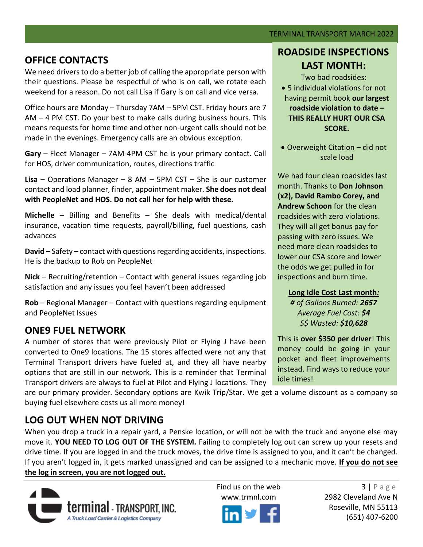## <span id="page-2-0"></span>**OFFICE CONTACTS**

We need drivers to do a better job of calling the appropriate person with their questions. Please be respectful of who is on call, we rotate each weekend for a reason. Do not call Lisa if Gary is on call and vice versa.

Office hours are Monday – Thursday 7AM – 5PM CST. Friday hours are 7 AM – 4 PM CST. Do your best to make calls during business hours. This means requests for home time and other non-urgent calls should not be made in the evenings. Emergency calls are an obvious exception.

**Gary** – Fleet Manager – 7AM-4PM CST he is your primary contact. Call for HOS, driver communication, routes, directions traffic

**Lisa** – Operations Manager – 8 AM – 5PM CST – She is our customer contact and load planner, finder, appointment maker. **She does not deal with PeopleNet and HOS. Do not call her for help with these.**

**Michelle** – Billing and Benefits – She deals with medical/dental insurance, vacation time requests, payroll/billing, fuel questions, cash advances

**David** – Safety – contact with questions regarding accidents, inspections. He is the backup to Rob on PeopleNet

**Nick** – Recruiting/retention – Contact with general issues regarding job satisfaction and any issues you feel haven't been addressed

**Rob** – Regional Manager – Contact with questions regarding equipment and PeopleNet Issues

## <span id="page-2-1"></span>**ONE9 FUEL NETWORK**

A number of stores that were previously Pilot or Flying J have been converted to One9 locations. The 15 stores affected were not any that Terminal Transport drivers have fueled at, and they all have nearby options that are still in our network. This is a reminder that Terminal Transport drivers are always to fuel at Pilot and Flying J locations. They

are our primary provider. Secondary options are Kwik Trip/Star. We get a volume discount as a company so buying fuel elsewhere costs us all more money!

## <span id="page-2-2"></span>**LOG OUT WHEN NOT DRIVING**

When you drop a truck in a repair yard, a Penske location, or will not be with the truck and anyone else may move it. **YOU NEED TO LOG OUT OF THE SYSTEM.** Failing to completely log out can screw up your resets and drive time. If you are logged in and the truck moves, the drive time is assigned to you, and it can't be changed. If you aren't logged in, it gets marked unassigned and can be assigned to a mechanic move. **If you do not see the log in screen, you are not logged out.**





Find us on the web  $3 | P \text{age}$ www.trmnl.com 2982 Cleveland Ave N Roseville, MN 55113 (651) 407-6200

## **ROADSIDE INSPECTIONS LAST MONTH:**

Two bad roadsides: • 5 individual violations for not having permit book **our largest roadside violation to date – THIS REALLY HURT OUR CSA SCORE.**

• Overweight Citation – did not scale load

We had four clean roadsides last month. Thanks to **Don Johnson (x2), David Rambo Corey, and Andrew Schoon** for the clean roadsides with zero violations. They will all get bonus pay for passing with zero issues. We need more clean roadsides to lower our CSA score and lower the odds we get pulled in for inspections and burn time.

#### **Long Idle Cost Last month***:*

*# of Gallons Burned: 2657 Average Fuel Cost: \$4 \$\$ Wasted: \$10,628*

This is **over \$350 per driver**! This money could be going in your pocket and fleet improvements instead. Find ways to reduce your idle times!